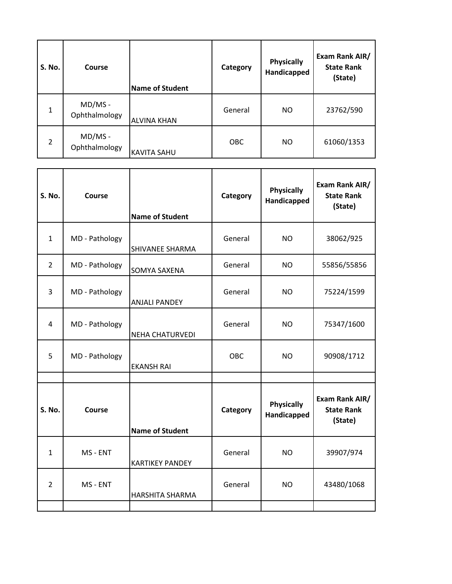| <b>S. No.</b>  | Course                     | <b>Name of Student</b> | Category   | <b>Physically</b><br>Handicapped | Exam Rank AIR/<br><b>State Rank</b><br>(State) |
|----------------|----------------------------|------------------------|------------|----------------------------------|------------------------------------------------|
| 1              | $MD/MS -$<br>Ophthalmology | <b>ALVINA KHAN</b>     | General    | NO.                              | 23762/590                                      |
| $\overline{2}$ | $MD/MS -$<br>Ophthalmology | <b>KAVITA SAHU</b>     | <b>OBC</b> | <b>NO</b>                        | 61060/1353                                     |

| <b>S. No.</b>  | Course         | <b>Name of Student</b> | Category | <b>Physically</b><br>Handicapped | Exam Rank AIR/<br><b>State Rank</b><br>(State) |
|----------------|----------------|------------------------|----------|----------------------------------|------------------------------------------------|
| $\mathbf{1}$   | MD - Pathology | SHIVANEE SHARMA        | General  | <b>NO</b>                        | 38062/925                                      |
| $\overline{2}$ | MD - Pathology | SOMYA SAXENA           | General  | NO.                              | 55856/55856                                    |
| $\overline{3}$ | MD - Pathology | <b>ANJALI PANDEY</b>   | General  | <b>NO</b>                        | 75224/1599                                     |
| 4              | MD - Pathology | <b>NEHA CHATURVEDI</b> | General  | NO.                              | 75347/1600                                     |
| 5              | MD - Pathology | <b>EKANSH RAI</b>      | OBC      | <b>NO</b>                        | 90908/1712                                     |
|                |                |                        |          |                                  |                                                |
| S. No.         | Course         | <b>Name of Student</b> | Category | <b>Physically</b><br>Handicapped | Exam Rank AIR/<br><b>State Rank</b><br>(State) |
| $\mathbf{1}$   | MS - ENT       | <b>KARTIKEY PANDEY</b> | General  | <b>NO</b>                        | 39907/974                                      |
| $\overline{2}$ | MS - ENT       | <b>HARSHITA SHARMA</b> | General  | <b>NO</b>                        | 43480/1068                                     |
|                |                |                        |          |                                  |                                                |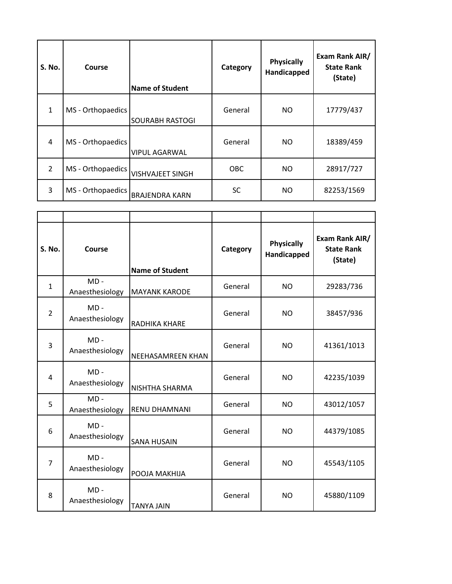| S. No.         | Course            | <b>Name of Student</b>  | Category   | <b>Physically</b><br>Handicapped | Exam Rank AIR/<br><b>State Rank</b><br>(State) |
|----------------|-------------------|-------------------------|------------|----------------------------------|------------------------------------------------|
| $\mathbf{1}$   | MS - Orthopaedics | <b>SOURABH RASTOGI</b>  | General    | NO.                              | 17779/437                                      |
| 4              | MS - Orthopaedics | <b>VIPUL AGARWAL</b>    | General    | NO.                              | 18389/459                                      |
| $\mathfrak{D}$ | MS - Orthopaedics | <b>VISHVAJEET SINGH</b> | <b>OBC</b> | NO.                              | 28917/727                                      |
| 3              | MS - Orthopaedics | <b>BRAJENDRA KARN</b>   | <b>SC</b>  | NO.                              | 82253/1569                                     |

| S. No.         | Course                    | <b>Name of Student</b> | Category | <b>Physically</b><br>Handicapped | Exam Rank AIR/<br><b>State Rank</b><br>(State) |
|----------------|---------------------------|------------------------|----------|----------------------------------|------------------------------------------------|
| $\mathbf{1}$   | $MD -$<br>Anaesthesiology | <b>MAYANK KARODE</b>   | General  | <b>NO</b>                        | 29283/736                                      |
| $\overline{2}$ | $MD -$<br>Anaesthesiology | RADHIKA KHARE          | General  | <b>NO</b>                        | 38457/936                                      |
| 3              | $MD -$<br>Anaesthesiology | NEEHASAMREEN KHAN      | General  | <b>NO</b>                        | 41361/1013                                     |
| 4              | $MD -$<br>Anaesthesiology | NISHTHA SHARMA         | General  | <b>NO</b>                        | 42235/1039                                     |
| 5              | $MD -$<br>Anaesthesiology | RENU DHAMNANI          | General  | <b>NO</b>                        | 43012/1057                                     |
| 6              | $MD -$<br>Anaesthesiology | <b>SANA HUSAIN</b>     | General  | <b>NO</b>                        | 44379/1085                                     |
| $\overline{7}$ | $MD -$<br>Anaesthesiology | POOJA MAKHIJA          | General  | <b>NO</b>                        | 45543/1105                                     |
| 8              | $MD -$<br>Anaesthesiology | <b>TANYA JAIN</b>      | General  | <b>NO</b>                        | 45880/1109                                     |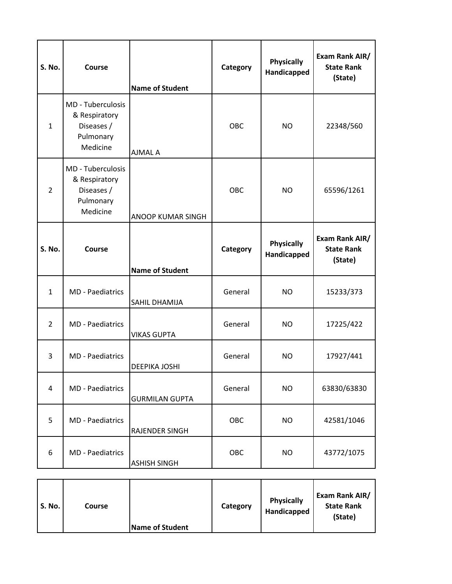| S. No.         | Course                                                                           | <b>Name of Student</b> | Category | <b>Physically</b><br>Handicapped | Exam Rank AIR/<br><b>State Rank</b><br>(State) |
|----------------|----------------------------------------------------------------------------------|------------------------|----------|----------------------------------|------------------------------------------------|
| $\mathbf{1}$   | <b>MD</b> - Tuberculosis<br>& Respiratory<br>Diseases /<br>Pulmonary<br>Medicine | AJMAL A                | OBC      | NO.                              | 22348/560                                      |
| $\overline{2}$ | <b>MD</b> - Tuberculosis<br>& Respiratory<br>Diseases /<br>Pulmonary<br>Medicine | ANOOP KUMAR SINGH      | OBC      | <b>NO</b>                        | 65596/1261                                     |
| S. No.         | Course                                                                           | <b>Name of Student</b> | Category | <b>Physically</b><br>Handicapped | Exam Rank AIR/<br><b>State Rank</b><br>(State) |
| $\mathbf{1}$   | <b>MD</b> - Paediatrics                                                          | SAHIL DHAMIJA          | General  | <b>NO</b>                        | 15233/373                                      |
| $\overline{2}$ | <b>MD</b> - Paediatrics                                                          | <b>VIKAS GUPTA</b>     | General  | <b>NO</b>                        | 17225/422                                      |
| 3              | <b>MD</b> - Paediatrics                                                          | DEEPIKA JOSHI          | General  | <b>NO</b>                        | 17927/441                                      |
| 4              | MD - Paediatrics                                                                 | <b>GURMILAN GUPTA</b>  | General  | <b>NO</b>                        | 63830/63830                                    |
| 5              | <b>MD</b> - Paediatrics                                                          | RAJENDER SINGH         | OBC      | <b>NO</b>                        | 42581/1046                                     |
| 6              | MD - Paediatrics                                                                 | <b>ASHISH SINGH</b>    | OBC      | <b>NO</b>                        | 43772/1075                                     |

| <b>S. No.</b>          | <b>Physically</b> | Exam Rank AIR/    |
|------------------------|-------------------|-------------------|
| Course                 | Category          | <b>State Rank</b> |
| <b>Name of Student</b> | Handicapped       | (State)           |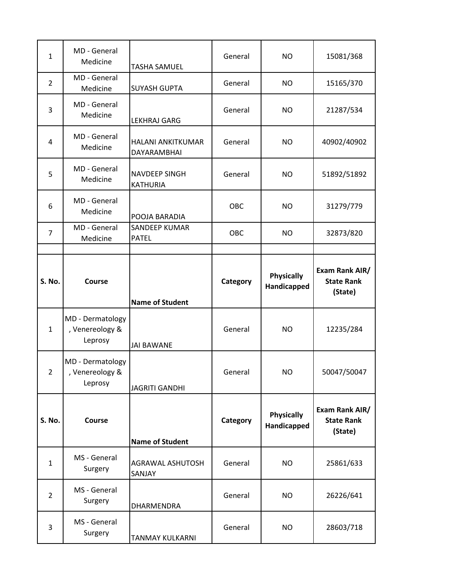| $\mathbf{1}$   | MD - General<br>Medicine                       | <b>TASHA SAMUEL</b>                     | General  | <b>NO</b>                        | 15081/368                                      |
|----------------|------------------------------------------------|-----------------------------------------|----------|----------------------------------|------------------------------------------------|
| $\overline{2}$ | MD - General<br>Medicine                       | <b>SUYASH GUPTA</b>                     | General  | <b>NO</b>                        | 15165/370                                      |
| 3              | MD - General<br>Medicine                       | <b>LEKHRAJ GARG</b>                     | General  | <b>NO</b>                        | 21287/534                                      |
| 4              | MD - General<br>Medicine                       | HALANI ANKITKUMAR<br>DAYARAMBHAI        | General  | <b>NO</b>                        | 40902/40902                                    |
| 5              | MD - General<br>Medicine                       | <b>NAVDEEP SINGH</b><br><b>KATHURIA</b> | General  | <b>NO</b>                        | 51892/51892                                    |
| 6              | MD - General<br>Medicine                       | POOJA BARADIA                           | OBC      | <b>NO</b>                        | 31279/779                                      |
| $\overline{7}$ | MD - General<br>Medicine                       | <b>SANDEEP KUMAR</b><br><b>PATEL</b>    | OBC      | <b>NO</b>                        | 32873/820                                      |
|                |                                                |                                         |          |                                  |                                                |
| S. No.         | Course                                         |                                         | Category | <b>Physically</b><br>Handicapped | Exam Rank AIR/<br><b>State Rank</b><br>(State) |
|                |                                                | <b>Name of Student</b>                  |          |                                  |                                                |
| $\mathbf{1}$   | MD - Dermatology<br>, Venereology &<br>Leprosy | <b>JAI BAWANE</b>                       | General  | <b>NO</b>                        | 12235/284                                      |
| 2              | MD - Dermatology<br>, Venereology &<br>Leprosy |                                         | General  | <b>NO</b>                        | 50047/50047                                    |
|                |                                                | <b>JAGRITI GANDHI</b>                   |          |                                  |                                                |
| S. No.         | Course                                         | <b>Name of Student</b>                  | Category | <b>Physically</b><br>Handicapped | Exam Rank AIR/<br><b>State Rank</b><br>(State) |
| $\mathbf{1}$   | MS - General<br>Surgery                        | <b>AGRAWAL ASHUTOSH</b><br>SANJAY       | General  | <b>NO</b>                        | 25861/633                                      |
| $\overline{2}$ | MS - General<br>Surgery                        | DHARMENDRA                              | General  | <b>NO</b>                        | 26226/641                                      |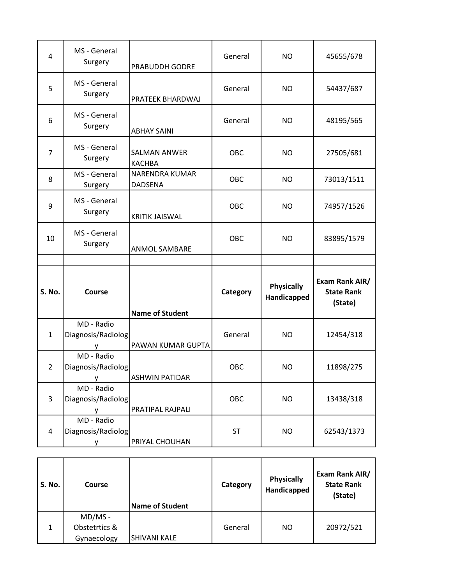| 4              | MS - General<br>Surgery               | PRABUDDH GODRE                          | General    | NO.                              | 45655/678                                      |
|----------------|---------------------------------------|-----------------------------------------|------------|----------------------------------|------------------------------------------------|
| 5              | MS - General<br>Surgery               | PRATEEK BHARDWAJ                        | General    | <b>NO</b>                        | 54437/687                                      |
| 6              | MS - General<br>Surgery               | <b>ABHAY SAINI</b>                      | General    | <b>NO</b>                        | 48195/565                                      |
| $\overline{7}$ | MS - General<br>Surgery               | <b>SALMAN ANWER</b><br><b>KACHBA</b>    | OBC        | <b>NO</b>                        | 27505/681                                      |
| 8              | MS - General<br>Surgery               | <b>NARENDRA KUMAR</b><br><b>DADSENA</b> | OBC        | <b>NO</b>                        | 73013/1511                                     |
| 9              | MS - General<br>Surgery               | <b>KRITIK JAISWAL</b>                   | <b>OBC</b> | <b>NO</b>                        | 74957/1526                                     |
| 10             | MS - General<br>Surgery               | <b>ANMOL SAMBARE</b>                    | OBC        | <b>NO</b>                        | 83895/1579                                     |
|                |                                       |                                         |            |                                  |                                                |
|                |                                       |                                         |            |                                  |                                                |
| S. No.         | Course                                | <b>Name of Student</b>                  | Category   | <b>Physically</b><br>Handicapped | Exam Rank AIR/<br><b>State Rank</b><br>(State) |
| $\mathbf{1}$   | MD - Radio<br>Diagnosis/Radiolog      | PAWAN KUMAR GUPTA                       | General    | <b>NO</b>                        | 12454/318                                      |
| 2              | MD - Radio<br>Diagnosis/Radiolog<br>v | <b>ASHWIN PATIDAR</b>                   | OBC        | <b>NO</b>                        | 11898/275                                      |
| 3              | MD - Radio<br>Diagnosis/Radiolog<br>y | PRATIPAL RAJPALI                        | OBC        | <b>NO</b>                        | 13438/318                                      |

| <b>S. No.</b> | Course        | <b>Name of Student</b> | Category | <b>Physically</b><br>Handicapped | Exam Rank AIR/<br><b>State Rank</b><br>(State) |
|---------------|---------------|------------------------|----------|----------------------------------|------------------------------------------------|
|               | $MD/MS -$     |                        |          |                                  |                                                |
| $\mathbf{1}$  | Obstetrtics & |                        | General  | NO                               | 20972/521                                      |
|               | Gynaecology   | <b>SHIVANI KALE</b>    |          |                                  |                                                |